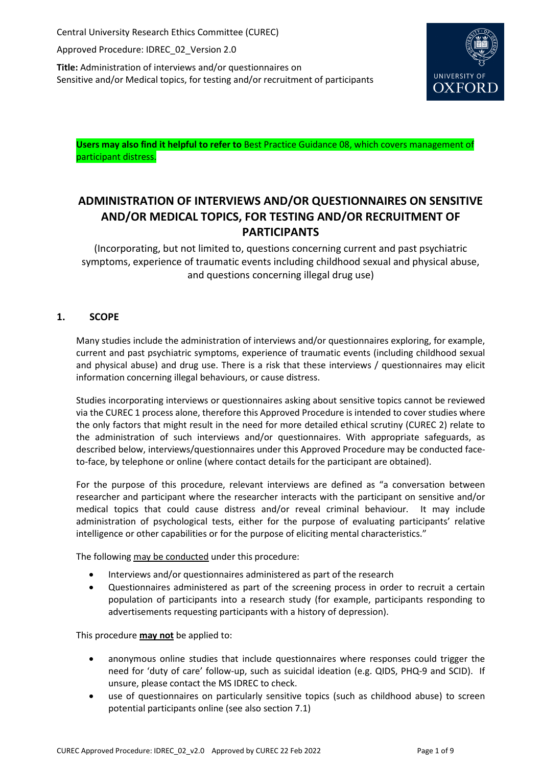Central University Research Ethics Committee (CUREC)

Approved Procedure: IDREC\_02\_Version 2.0

**Title:** Administration of interviews and/or questionnaires on Sensitive and/or Medical topics, for testing and/or recruitment of participants



**Users may also find it helpful to refer to** Best Practice Guidance 08, which covers management of participant distress.

# **ADMINISTRATION OF INTERVIEWS AND/OR QUESTIONNAIRES ON SENSITIVE AND/OR MEDICAL TOPICS, FOR TESTING AND/OR RECRUITMENT OF PARTICIPANTS**

(Incorporating, but not limited to, questions concerning current and past psychiatric symptoms, experience of traumatic events including childhood sexual and physical abuse, and questions concerning illegal drug use)

## **1. SCOPE**

Many studies include the administration of interviews and/or questionnaires exploring, for example, current and past psychiatric symptoms, experience of traumatic events (including childhood sexual and physical abuse) and drug use. There is a risk that these interviews / questionnaires may elicit information concerning illegal behaviours, or cause distress.

Studies incorporating interviews or questionnaires asking about sensitive topics cannot be reviewed via the CUREC 1 process alone, therefore this Approved Procedure is intended to cover studies where the only factors that might result in the need for more detailed ethical scrutiny (CUREC 2) relate to the administration of such interviews and/or questionnaires. With appropriate safeguards, as described below, interviews/questionnaires under this Approved Procedure may be conducted faceto-face, by telephone or online (where contact details for the participant are obtained).

For the purpose of this procedure, relevant interviews are defined as "a conversation between researcher and participant where the researcher interacts with the participant on sensitive and/or medical topics that could cause distress and/or reveal criminal behaviour. It may include administration of psychological tests, either for the purpose of evaluating participants' relative intelligence or other capabilities or for the purpose of eliciting mental characteristics."

The following may be conducted under this procedure:

- Interviews and/or questionnaires administered as part of the research
- Questionnaires administered as part of the screening process in order to recruit a certain population of participants into a research study (for example, participants responding to advertisements requesting participants with a history of depression).

This procedure **may not** be applied to:

- anonymous online studies that include questionnaires where responses could trigger the need for 'duty of care' follow-up, such as suicidal ideation (e.g. QIDS, PHQ-9 and SCID). If unsure, please contact the MS IDREC to check.
- use of questionnaires on particularly sensitive topics (such as childhood abuse) to screen potential participants online (see also section 7.1)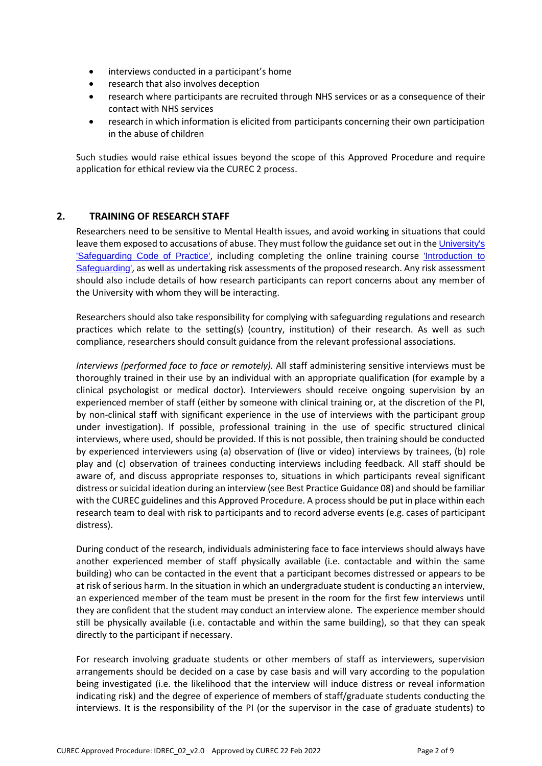- interviews conducted in a participant's home
- research that also involves deception
- research where participants are recruited through NHS services or as a consequence of their contact with NHS services
- research in which information is elicited from participants concerning their own participation in the abuse of children

Such studies would raise ethical issues beyond the scope of this Approved Procedure and require application for ethical review via the CUREC 2 process.

## **2. TRAINING OF RESEARCH STAFF**

Researchers need to be sensitive to Mental Health issues, and avoid working in situations that could leave them exposed to accusations of abuse. They must follow the guidance set out in the [University's](https://www.admin.ox.ac.uk/personnel/cops/safeguarding/) ['Safeguarding Code of Practice'](https://www.admin.ox.ac.uk/personnel/cops/safeguarding/), including completing the online training course ['Introduction to](https://hr.admin.ox.ac.uk/safeguarding-at-risk-adults-and-children#collapse1406556)  [Safeguarding'](https://hr.admin.ox.ac.uk/safeguarding-at-risk-adults-and-children#collapse1406556), as well as undertaking risk assessments of the proposed research. Any risk assessment should also include details of how research participants can report concerns about any member of the University with whom they will be interacting.

Researchers should also take responsibility for complying with safeguarding regulations and research practices which relate to the setting(s) (country, institution) of their research. As well as such compliance, researchers should consult guidance from the relevant professional associations.

*Interviews (performed face to face or remotely).* All staff administering sensitive interviews must be thoroughly trained in their use by an individual with an appropriate qualification (for example by a clinical psychologist or medical doctor). Interviewers should receive ongoing supervision by an experienced member of staff (either by someone with clinical training or, at the discretion of the PI, by non-clinical staff with significant experience in the use of interviews with the participant group under investigation). If possible, professional training in the use of specific structured clinical interviews, where used, should be provided. If this is not possible, then training should be conducted by experienced interviewers using (a) observation of (live or video) interviews by trainees, (b) role play and (c) observation of trainees conducting interviews including feedback. All staff should be aware of, and discuss appropriate responses to, situations in which participants reveal significant distress or suicidal ideation during an interview (see Best Practice Guidance 08) and should be familiar with the CUREC guidelines and this Approved Procedure. A processshould be put in place within each research team to deal with risk to participants and to record adverse events (e.g. cases of participant distress).

During conduct of the research, individuals administering face to face interviews should always have another experienced member of staff physically available (i.e. contactable and within the same building) who can be contacted in the event that a participant becomes distressed or appears to be at risk of serious harm. In the situation in which an undergraduate student is conducting an interview, an experienced member of the team must be present in the room for the first few interviews until they are confident that the student may conduct an interview alone. The experience member should still be physically available (i.e. contactable and within the same building), so that they can speak directly to the participant if necessary.

For research involving graduate students or other members of staff as interviewers, supervision arrangements should be decided on a case by case basis and will vary according to the population being investigated (i.e. the likelihood that the interview will induce distress or reveal information indicating risk) and the degree of experience of members of staff/graduate students conducting the interviews. It is the responsibility of the PI (or the supervisor in the case of graduate students) to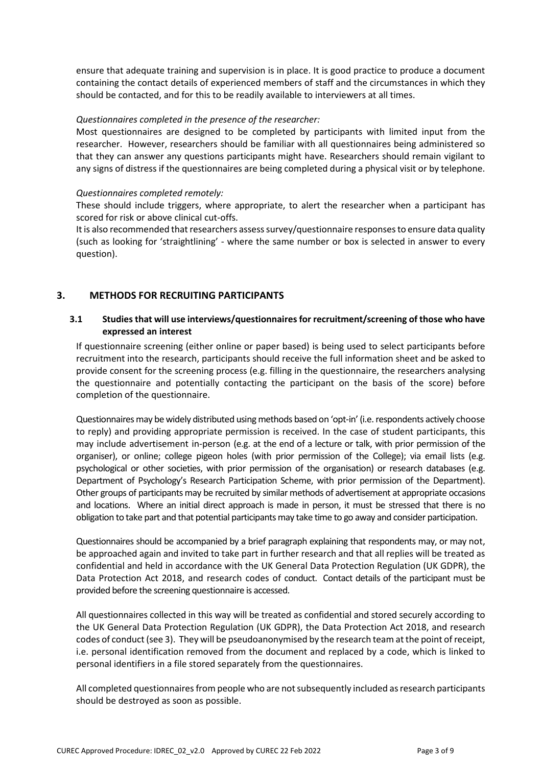ensure that adequate training and supervision is in place. It is good practice to produce a document containing the contact details of experienced members of staff and the circumstances in which they should be contacted, and for this to be readily available to interviewers at all times.

#### *Questionnaires completed in the presence of the researcher:*

Most questionnaires are designed to be completed by participants with limited input from the researcher. However, researchers should be familiar with all questionnaires being administered so that they can answer any questions participants might have. Researchers should remain vigilant to any signs of distress if the questionnaires are being completed during a physical visit or by telephone.

#### *Questionnaires completed remotely:*

These should include triggers, where appropriate, to alert the researcher when a participant has scored for risk or above clinical cut-offs.

It is also recommended that researchers assess survey/questionnaire responses to ensure data quality (such as looking for 'straightlining' - where the same number or box is selected in answer to every question).

## **3. METHODS FOR RECRUITING PARTICIPANTS**

### **3.1 Studies that will use interviews/questionnairesfor recruitment/screening of those who have expressed an interest**

If questionnaire screening (either online or paper based) is being used to select participants before recruitment into the research, participants should receive the full information sheet and be asked to provide consent for the screening process (e.g. filling in the questionnaire, the researchers analysing the questionnaire and potentially contacting the participant on the basis of the score) before completion of the questionnaire.

Questionnaires may be widely distributed using methods based on 'opt-in' (i.e. respondents actively choose to reply) and providing appropriate permission is received. In the case of student participants, this may include advertisement in-person (e.g. at the end of a lecture or talk, with prior permission of the organiser), or online; college pigeon holes (with prior permission of the College); via email lists (e.g. psychological or other societies, with prior permission of the organisation) or research databases (e.g. Department of Psychology's Research Participation Scheme, with prior permission of the Department). Other groups of participants may be recruited by similar methods of advertisement at appropriate occasions and locations. Where an initial direct approach is made in person, it must be stressed that there is no obligation to take part and that potential participants may take time to go away and consider participation.

Questionnaires should be accompanied by a brief paragraph explaining that respondents may, or may not, be approached again and invited to take part in further research and that all replies will be treated as confidential and held in accordance with the UK General Data Protection Regulation (UK GDPR), the Data Protection Act 2018, and research codes of conduct. Contact details of the participant must be provided before the screening questionnaire is accessed.

All questionnaires collected in this way will be treated as confidential and stored securely according to the UK General Data Protection Regulation (UK GDPR), the Data Protection Act 2018, and research codes of conduct (see 3). They will be pseudoanonymised by the research team atthe point of receipt, i.e. personal identification removed from the document and replaced by a code, which is linked to personal identifiers in a file stored separately from the questionnaires.

All completed questionnaires from people who are notsubsequently included asresearch participants should be destroyed as soon as possible.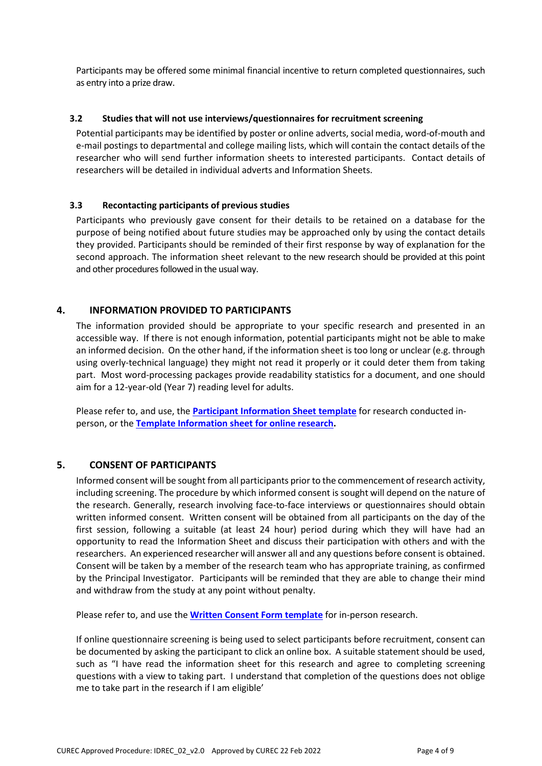Participants may be offered some minimal financial incentive to return completed questionnaires, such as entry into a prize draw.

#### **3.2 Studies that will not use interviews/questionnaires for recruitment screening**

Potential participants may be identified by poster or online adverts, social media, word-of-mouth and e-mail postings to departmental and college mailing lists, which will contain the contact details of the researcher who will send further information sheets to interested participants. Contact details of researchers will be detailed in individual adverts and Information Sheets.

### **3.3 Recontacting participants of previous studies**

Participants who previously gave consent for their details to be retained on a database for the purpose of being notified about future studies may be approached only by using the contact details they provided. Participants should be reminded of their first response by way of explanation for the second approach. The information sheet relevant to the new research should be provided at this point and other procedures followed in the usual way.

## **4. INFORMATION PROVIDED TO PARTICIPANTS**

The information provided should be appropriate to your specific research and presented in an accessible way. If there is not enough information, potential participants might not be able to make an informed decision. On the other hand, if the information sheet is too long or unclear (e.g. through using overly-technical language) they might not read it properly or it could deter them from taking part. Most word-processing packages provide readability statistics for a document, and one should aim for a 12-year-old (Year 7) reading level for adults.

Please refer to, and use, the **[Participant Information](https://researchsupport.admin.ox.ac.uk/governance/ethics/resources/consent#collapse281101) Sheet template** for research conducted inperson, or the **Template [Information](https://researchsupport.admin.ox.ac.uk/governance/ethics/resources/consent#collapse281101) sheet for online research.**

#### **5. CONSENT OF PARTICIPANTS**

Informed consent will be sought from all participants prior to the commencement of research activity, including screening. The procedure by which informed consent is sought will depend on the nature of the research. Generally, research involving face-to-face interviews or questionnaires should obtain written informed consent. Written consent will be obtained from all participants on the day of the first session, following a suitable (at least 24 hour) period during which they will have had an opportunity to read the Information Sheet and discuss their participation with others and with the researchers. An experienced researcher will answer all and any questions before consent is obtained. Consent will be taken by a member of the research team who has appropriate training, as confirmed by the Principal Investigator. Participants will be reminded that they are able to change their mind and withdraw from the study at any point without penalty.

Please refer to, and use the **Written [Consent Form](https://researchsupport.admin.ox.ac.uk/governance/ethics/resources/consent#collapse281101) template** for in-person research.

If online questionnaire screening is being used to select participants before recruitment, consent can be documented by asking the participant to click an online box. A suitable statement should be used, such as "I have read the information sheet for this research and agree to completing screening questions with a view to taking part. I understand that completion of the questions does not oblige me to take part in the research if I am eligible'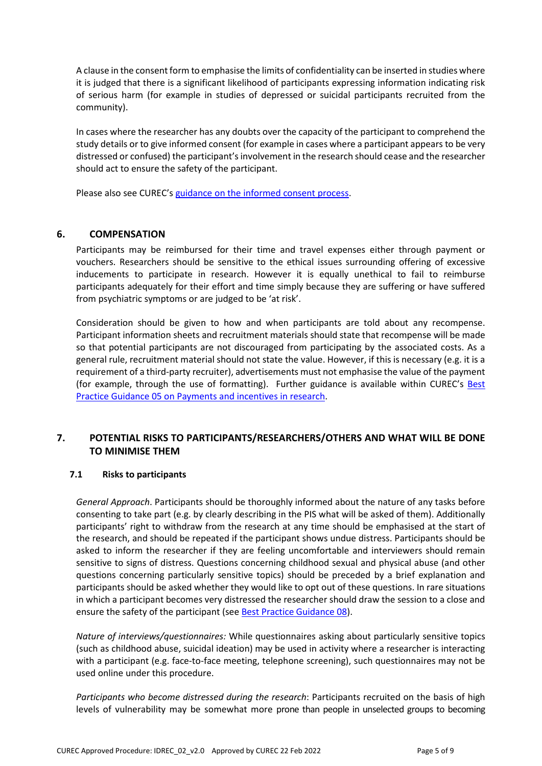A clause in the consentform to emphasise the limits of confidentiality can be inserted in studies where it is judged that there is a significant likelihood of participants expressing information indicating risk of serious harm (for example in studies of depressed or suicidal participants recruited from the community).

In cases where the researcher has any doubts over the capacity of the participant to comprehend the study details or to give informed consent (for example in cases where a participant appears to be very distressed or confused) the participant's involvement in the research should cease and the researcher should act to ensure the safety of the participant.

Please also see CUREC's guidance on the [informed](http://researchsupport.admin.ox.ac.uk/governance/ethics/resources/consent) consent process.

### **6. COMPENSATION**

Participants may be reimbursed for their time and travel expenses either through payment or vouchers. Researchers should be sensitive to the ethical issues surrounding offering of excessive inducements to participate in research. However it is equally unethical to fail to reimburse participants adequately for their effort and time simply because they are suffering or have suffered from psychiatric symptoms or are judged to be 'at risk'.

Consideration should be given to how and when participants are told about any recompense. Participant information sheets and recruitment materials should state that recompense will be made so that potential participants are not discouraged from participating by the associated costs. As a general rule, recruitment material should not state the value. However, if this is necessary (e.g. it is a requirement of a third-party recruiter), advertisements must not emphasise the value of the payment (for example, through the use of formatting). Further guidance is available within CUREC's [Best](https://researchsupport.admin.ox.ac.uk/governance/ethics/resources/bpg) Practice Guidance 05 on [Payments and](https://researchsupport.admin.ox.ac.uk/governance/ethics/resources/bpg) incentives in research.

## **7. POTENTIAL RISKS TO PARTICIPANTS/RESEARCHERS/OTHERS AND WHAT WILL BE DONE TO MINIMISE THEM**

#### **7.1 Risks to participants**

*General Approach*. Participants should be thoroughly informed about the nature of any tasks before consenting to take part (e.g. by clearly describing in the PIS what will be asked of them). Additionally participants' right to withdraw from the research at any time should be emphasised at the start of the research, and should be repeated if the participant shows undue distress. Participants should be asked to inform the researcher if they are feeling uncomfortable and interviewers should remain sensitive to signs of distress. Questions concerning childhood sexual and physical abuse (and other questions concerning particularly sensitive topics) should be preceded by a brief explanation and participants should be asked whether they would like to opt out of these questions. In rare situations in which a participant becomes very distressed the researcher should draw the session to a close and ensure the safety of the participant (see Best Practice [Guidance](https://researchsupport.admin.ox.ac.uk/governance/ethics/resources/bpghttps:/researchsupport.admin.ox.ac.uk/files/bpg08psychologicaldistresspdf) 08).

*Nature of interviews/questionnaires:* While questionnaires asking about particularly sensitive topics (such as childhood abuse, suicidal ideation) may be used in activity where a researcher is interacting with a participant (e.g. face-to-face meeting, telephone screening), such questionnaires may not be used online under this procedure.

*Participants who become distressed during the research*: Participants recruited on the basis of high levels of vulnerability may be somewhat more prone than people in unselected groups to becoming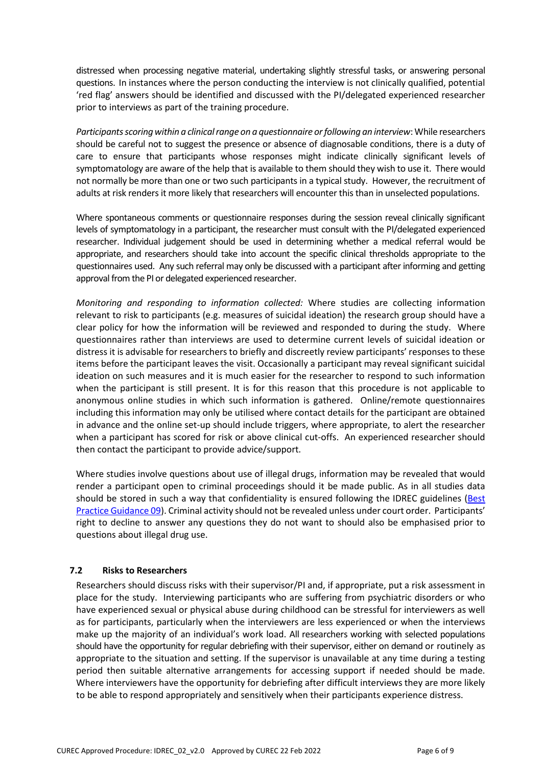distressed when processing negative material, undertaking slightly stressful tasks, or answering personal questions. In instances where the person conducting the interview is not clinically qualified, potential 'red flag' answers should be identified and discussed with the PI/delegated experienced researcher prior to interviews as part of the training procedure.

*Participantsscoringwithin a clinicalrange on a questionnaire orfollowing an interview*:While researchers should be careful not to suggest the presence or absence of diagnosable conditions, there is a duty of care to ensure that participants whose responses might indicate clinically significant levels of symptomatology are aware of the help that is available to them should they wish to use it. There would not normally be more than one or two such participants in a typical study. However, the recruitment of adults at risk renders it more likely that researchers will encounter this than in unselected populations.

Where spontaneous comments or questionnaire responses during the session reveal clinically significant levels of symptomatology in a participant, the researcher must consult with the PI/delegated experienced researcher. Individual judgement should be used in determining whether a medical referral would be appropriate, and researchers should take into account the specific clinical thresholds appropriate to the questionnaires used. Any such referral may only be discussed with a participant after informing and getting approval from the PI or delegated experienced researcher.

*Monitoring and responding to information collected:* Where studies are collecting information relevant to risk to participants (e.g. measures of suicidal ideation) the research group should have a clear policy for how the information will be reviewed and responded to during the study. Where questionnaires rather than interviews are used to determine current levels of suicidal ideation or distress it is advisable for researchers to briefly and discreetly review participants' responses to these items before the participant leaves the visit. Occasionally a participant may reveal significant suicidal ideation on such measures and it is much easier for the researcher to respond to such information when the participant is still present. It is for this reason that this procedure is not applicable to anonymous online studies in which such information is gathered. Online/remote questionnaires including this information may only be utilised where contact details for the participant are obtained in advance and the online set-up should include triggers, where appropriate, to alert the researcher when a participant has scored for risk or above clinical cut-offs. An experienced researcher should then contact the participant to provide advice/support.

Where studies involve questions about use of illegal drugs, information may be revealed that would render a participant open to criminal proceedings should it be made public. As in all studies data should be stored in such a way that confidentiality is ensured following the IDREC guidelines [\(Best](https://researchsupport.admin.ox.ac.uk/governance/ethics/resources/bpg) Practice [Guidance](https://researchsupport.admin.ox.ac.uk/governance/ethics/resources/bpg) 09). Criminal activity should not be revealed unless under court order. Participants' right to decline to answer any questions they do not want to should also be emphasised prior to questions about illegal drug use.

#### **7.2 Risks to Researchers**

Researchers should discuss risks with their supervisor/PI and, if appropriate, put a risk assessment in place for the study. Interviewing participants who are suffering from psychiatric disorders or who have experienced sexual or physical abuse during childhood can be stressful for interviewers as well as for participants, particularly when the interviewers are less experienced or when the interviews make up the majority of an individual's work load. All researchers working with selected populations should have the opportunity for regular debriefing with their supervisor, either on demand or routinely as appropriate to the situation and setting. If the supervisor is unavailable at any time during a testing period then suitable alternative arrangements for accessing support if needed should be made. Where interviewers have the opportunity for debriefing after difficult interviews they are more likely to be able to respond appropriately and sensitively when their participants experience distress.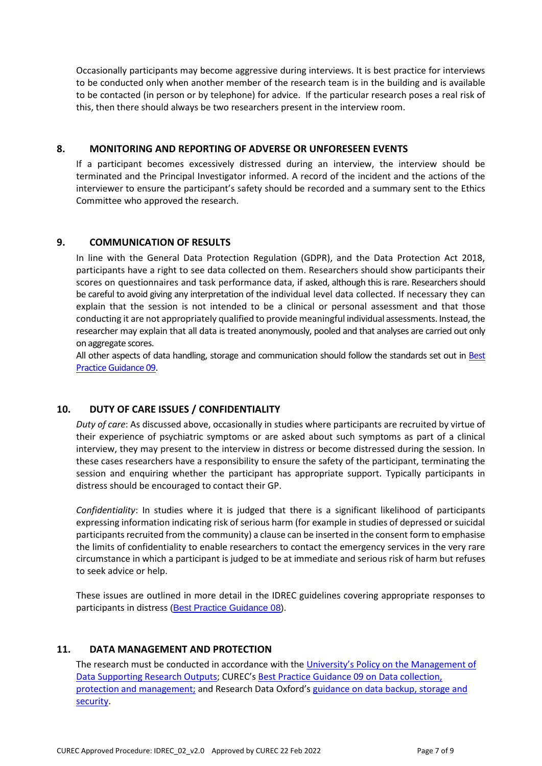Occasionally participants may become aggressive during interviews. It is best practice for interviews to be conducted only when another member of the research team is in the building and is available to be contacted (in person or by telephone) for advice. If the particular research poses a real risk of this, then there should always be two researchers present in the interview room.

## **8. MONITORING AND REPORTING OF ADVERSE OR UNFORESEEN EVENTS**

If a participant becomes excessively distressed during an interview, the interview should be terminated and the Principal Investigator informed. A record of the incident and the actions of the interviewer to ensure the participant's safety should be recorded and a summary sent to the Ethics Committee who approved the research.

### **9. COMMUNICATION OF RESULTS**

In line with the General Data Protection Regulation (GDPR), and the Data Protection Act 2018, participants have a right to see data collected on them. Researchers should show participants their scores on questionnaires and task performance data, if asked, although this is rare. Researchers should be careful to avoid giving any interpretation of the individual level data collected. If necessary they can explain that the session is not intended to be a clinical or personal assessment and that those conducting it are not appropriately qualified to provide meaningful individual assessments. Instead,the researcher may explain that all data is treated anonymously, pooled and that analyses are carried out only on aggregate scores.

All other aspects of data handling, storage and communication should follow the standards set out in [Best](http://researchsupport.admin.ox.ac.uk/governance/ethics/resources/bpg) Practice [Guidance](http://researchsupport.admin.ox.ac.uk/governance/ethics/resources/bpg) 09.

## **10. DUTY OF CARE ISSUES / CONFIDENTIALITY**

*Duty of care*: As discussed above, occasionally in studies where participants are recruited by virtue of their experience of psychiatric symptoms or are asked about such symptoms as part of a clinical interview, they may present to the interview in distress or become distressed during the session. In these cases researchers have a responsibility to ensure the safety of the participant, terminating the session and enquiring whether the participant has appropriate support. Typically participants in distress should be encouraged to contact their GP.

*Confidentiality*: In studies where it is judged that there is a significant likelihood of participants expressing information indicating risk of serious harm (for example in studies of depressed or suicidal participants recruited from the community) a clause can be inserted in the consent form to emphasise the limits of confidentiality to enable researchers to contact the emergency services in the very rare circumstance in which a participant is judged to be at immediate and serious risk of harm but refuses to seek advice or help.

These issues are outlined in more detail in the IDREC guidelines covering appropriate responses to participants in distress [\(Best Practice Guidance 08\)](http://researchsupport.admin.ox.ac.uk/governance/ethics/resources/bpg).

#### **11. DATA MANAGEMENT AND PROTECTION**

The research must be conducted in accordance with the [University's Policy](hhttps://researchdata.ox.ac.uk/university-of-oxford-policy-on-the-management-of-data-supporting-research-outputs/) on the Management of [Data Supporting Research Outputs;](hhttps://researchdata.ox.ac.uk/university-of-oxford-policy-on-the-management-of-data-supporting-research-outputs/) CUREC'[s Best Practice Guidance 09 on Data collection,](https://researchsupport.admin.ox.ac.uk/governance/ethics/resources/bpg)  [protection and management;](https://researchsupport.admin.ox.ac.uk/governance/ethics/resources/bpg) and Research Data Oxford's [guidance on data backup, storage and](https://researchdata.ox.ac.uk/home/managing-your-data-at-oxford/storage-and-backup)  [security.](https://researchdata.ox.ac.uk/home/managing-your-data-at-oxford/storage-and-backup)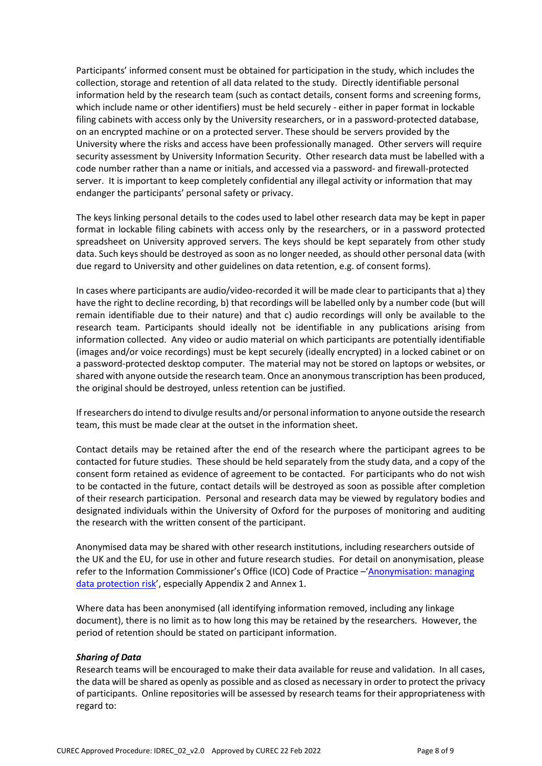Participants' informed consent must be obtained for participation in the study, which includes the collection, storage and retention of all data related to the study. Directly identifiable personal information held by the research team (such as contact details, consent forms and screening forms, which include name or other identifiers) must be held securely - either in paper format in lockable filing cabinets with access only by the University researchers, or in a password-protected database, on an encrypted machine or on a protected server. These should be servers provided by the University where the risks and access have been professionally managed. Other servers will require security assessment by University Information Security. Other research data must be labelled with a code number rather than a name or initials, and accessed via a password- and firewall-protected server. It is important to keep completely confidential any illegal activity or information that may endanger the participants' personal safety or privacy.

The keys linking personal details to the codes used to label other research data may be kept in paper format in lockable filing cabinets with access only by the researchers, or in a password protected spreadsheet on University approved servers. The keys should be kept separately from other study data. Such keys should be destroyed as soon as no longer needed, as should other personal data (with due regard to University and other guidelines on data retention, e.g. of consent forms).

In cases where participants are audio/video-recorded it will be made clear to participants that a) they have the right to decline recording, b) that recordings will be labelled only by a number code (but will remain identifiable due to their nature) and that c) audio recordings will only be available to the research team. Participants should ideally not be identifiable in any publications arising from information collected. Any video or audio material on which participants are potentially identifiable (images and/or voice recordings) must be kept securely (ideally encrypted) in a locked cabinet or on a password-protected desktop computer. The material may not be stored on laptops or websites, or shared with anyone outside the research team. Once an anonymous transcription has been produced, the original should be destroyed, unless retention can be justified.

If researchers do intend to divulge results and/or personal information to anyone outside the research team, this must be made clear at the outset in the information sheet.

Contact details may be retained after the end of the research where the participant agrees to be contacted for future studies. These should be held separately from the study data, and a copy of the consent form retained as evidence of agreement to be contacted. For participants who do not wish to be contacted in the future, contact details will be destroyed as soon as possible after completion of their research participation. Personal and research data may be viewed by regulatory bodies and designated individuals within the University of Oxford for the purposes of monitoring and auditing the research with the written consent of the participant.

Anonymised data may be shared with other research institutions, including researchers outside of the UK and the EU, for use in other and future research studies. For detail on anonymisation, please refer to the Information Commissioner's Office (ICO) Code of Practice –['Anonymisation:](https://ico.org.uk/media/1061/anonymisation-code.pdf) managing [data protection](https://ico.org.uk/media/1061/anonymisation-code.pdf) risk', especially Appendix 2 and Annex 1.

Where data has been anonymised (all identifying information removed, including any linkage document), there is no limit as to how long this may be retained by the researchers. However, the period of retention should be stated on participant information.

#### *Sharing of Data*

Research teams will be encouraged to make their data available for reuse and validation. In all cases, the data will be shared as openly as possible and as closed as necessary in order to protect the privacy of participants. Online repositories will be assessed by research teams for their appropriateness with regard to: